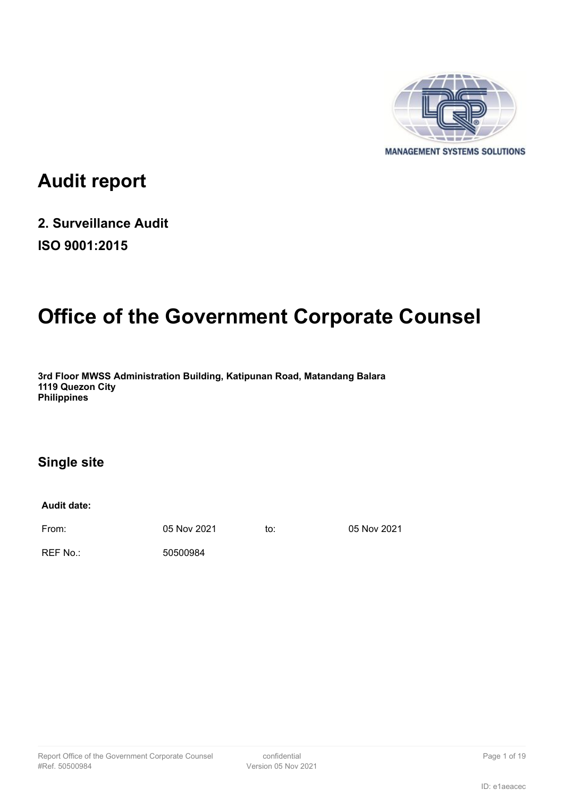

# **Audit report**

# **2. Surveillance Audit ISO 9001:2015**

# **Office of the Government Corporate Counsel**

**3rd Floor MWSS Administration Building, Katipunan Road, Matandang Balara 1119 Quezon City Philippines**

### **Single site**

**Audit date:**

From: 05 Nov 2021 to: 05 Nov 2021

REF No.: 50500984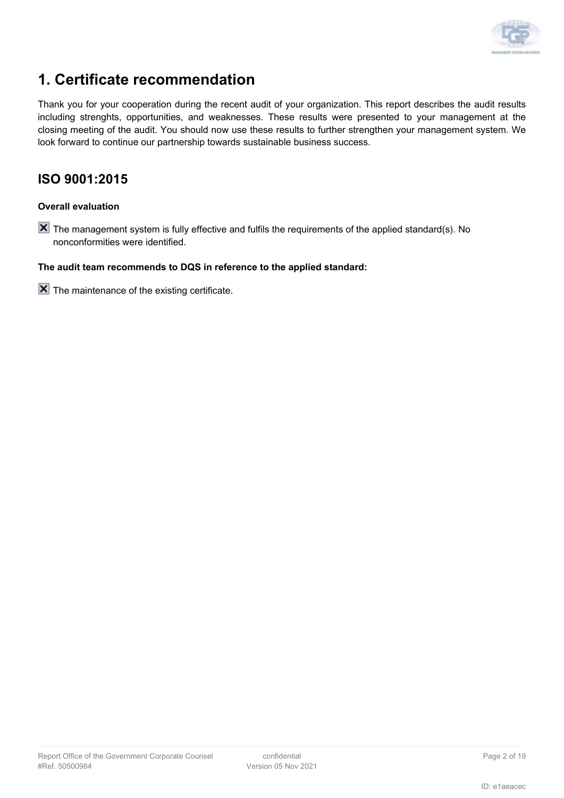

# **1. Certificate recommendation**

Thank you for your cooperation during the recent audit of your organization. This report describes the audit results including strenghts, opportunities, and weaknesses. These results were presented to your management at the closing meeting of the audit. You should now use these results to further strengthen your management system. We look forward to continue our partnership towards sustainable business success.

### **ISO 9001:2015**

#### **Overall evaluation**

**X** The management system is fully effective and fulfils the requirements of the applied standard(s). No nonconformities were identified.

#### **The audit team recommends to DQS in reference to the applied standard:**

 $\boxed{\mathsf{X}}$  The maintenance of the existing certificate.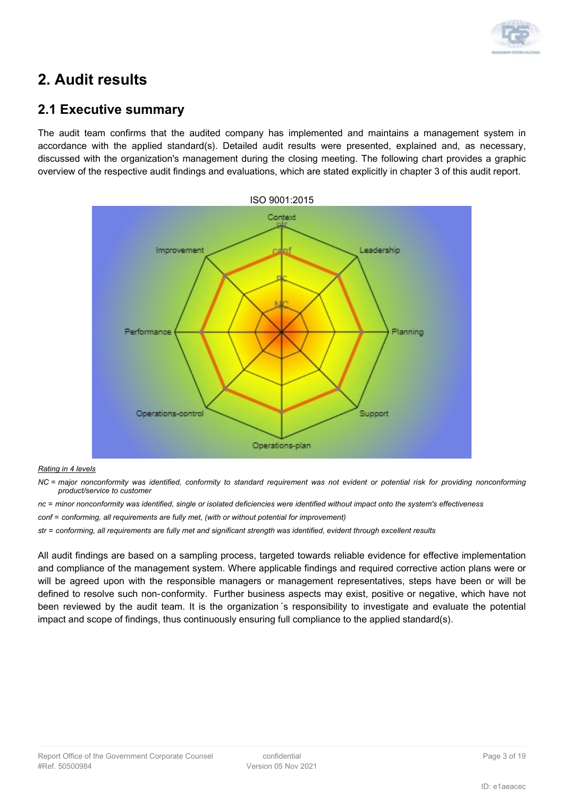

## **2. Audit results**

### **2.1 Executive summary**

The audit team confirms that the audited company has implemented and maintains a management system in accordance with the applied standard(s). Detailed audit results were presented, explained and, as necessary, discussed with the organization's management during the closing meeting. The following chart provides a graphic overview of the respective audit findings and evaluations, which are stated explicitly in chapter 3 of this audit report.



#### *Rating in 4 levels*

*NC = major nonconformity was identified, conformity to standard requirement was not evident or potential risk for providing nonconforming product/service to customer*

*nc = minor nonconformity was identified, single or isolated deficiencies were identified without impact onto the system's effectiveness*

*conf = conforming, all requirements are fully met, (with or without potential for improvement)*

*str = conforming, all requirements are fully met and significant strength was identified, evident through excellent results*

All audit findings are based on a sampling process, targeted towards reliable evidence for effective implementation and compliance of the management system. Where applicable findings and required corrective action plans were or will be agreed upon with the responsible managers or management representatives, steps have been or will be defined to resolve such non-conformity. Further business aspects may exist, positive or negative, which have not been reviewed by the audit team. It is the organization´s responsibility to investigate and evaluate the potential impact and scope of findings, thus continuously ensuring full compliance to the applied standard(s).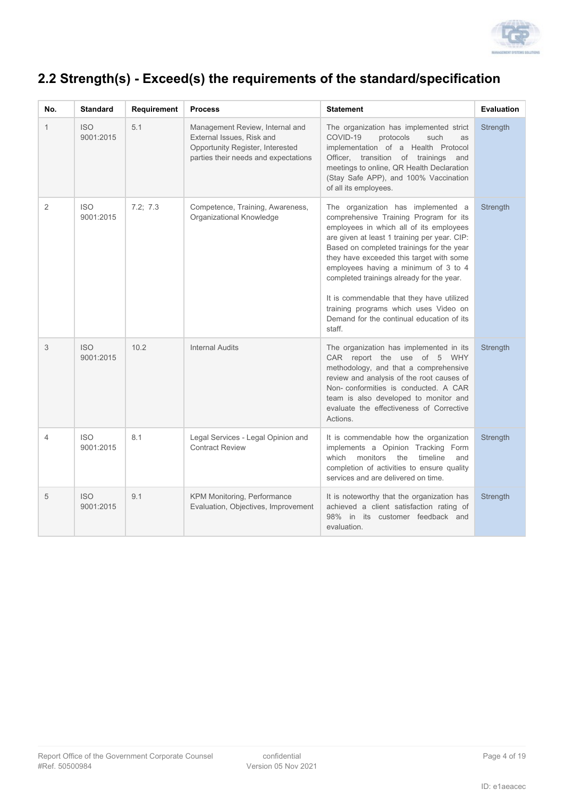

## **2.2 Strength(s) - Exceed(s) the requirements of the standard/specification**

| No.            | <b>Standard</b>         | Requirement | <b>Process</b>                                                                                                                           | <b>Statement</b>                                                                                                                                                                                                                                                                                                                                                                                                                                                                                   | Evaluation |
|----------------|-------------------------|-------------|------------------------------------------------------------------------------------------------------------------------------------------|----------------------------------------------------------------------------------------------------------------------------------------------------------------------------------------------------------------------------------------------------------------------------------------------------------------------------------------------------------------------------------------------------------------------------------------------------------------------------------------------------|------------|
| 1              | <b>ISO</b><br>9001:2015 | 5.1         | Management Review, Internal and<br>External Issues, Risk and<br>Opportunity Register, Interested<br>parties their needs and expectations | The organization has implemented strict<br>COVID-19<br>protocols<br>such<br>as<br>implementation of a Health Protocol<br>Officer, transition of trainings and<br>meetings to online, QR Health Declaration<br>(Stay Safe APP), and 100% Vaccination<br>of all its employees.                                                                                                                                                                                                                       | Strength   |
| $\overline{2}$ | <b>ISO</b><br>9001:2015 | 7.2; 7.3    | Competence, Training, Awareness,<br>Organizational Knowledge                                                                             | The organization has implemented a<br>comprehensive Training Program for its<br>employees in which all of its employees<br>are given at least 1 training per year. CIP:<br>Based on completed trainings for the year<br>they have exceeded this target with some<br>employees having a minimum of 3 to 4<br>completed trainings already for the year.<br>It is commendable that they have utilized<br>training programs which uses Video on<br>Demand for the continual education of its<br>staff. | Strength   |
| 3              | <b>ISO</b><br>9001:2015 | 10.2        | <b>Internal Audits</b>                                                                                                                   | The organization has implemented in its<br>CAR report the use of 5 WHY<br>methodology, and that a comprehensive<br>review and analysis of the root causes of<br>Non-conformities is conducted. A CAR<br>team is also developed to monitor and<br>evaluate the effectiveness of Corrective<br>Actions.                                                                                                                                                                                              | Strength   |
| $\overline{4}$ | <b>ISO</b><br>9001:2015 | 8.1         | Legal Services - Legal Opinion and<br><b>Contract Review</b>                                                                             | It is commendable how the organization<br>implements a Opinion Tracking Form<br>monitors the<br>which<br>timeline<br>and<br>completion of activities to ensure quality<br>services and are delivered on time.                                                                                                                                                                                                                                                                                      | Strength   |
| 5              | <b>ISO</b><br>9001:2015 | 9.1         | KPM Monitoring, Performance<br>Evaluation, Objectives, Improvement                                                                       | It is noteworthy that the organization has<br>achieved a client satisfaction rating of<br>98% in its customer feedback and<br>evaluation.                                                                                                                                                                                                                                                                                                                                                          | Strength   |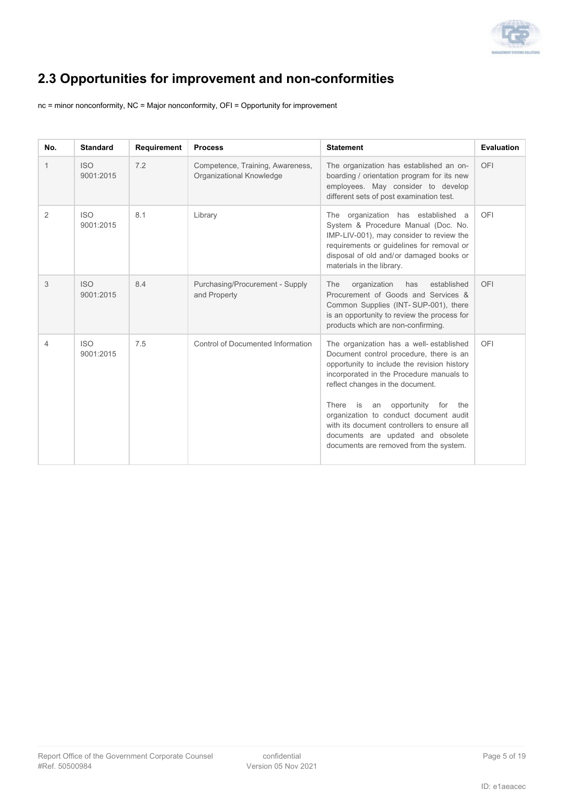

# **2.3 Opportunities for improvement and non-conformities**

nc = minor nonconformity, NC = Major nonconformity, OFI = Opportunity for improvement

| No. | <b>Standard</b>         | Requirement | <b>Process</b>                                               | <b>Statement</b>                                                                                                                                                                                                                                                                                                                                                                                                                 | <b>Evaluation</b> |
|-----|-------------------------|-------------|--------------------------------------------------------------|----------------------------------------------------------------------------------------------------------------------------------------------------------------------------------------------------------------------------------------------------------------------------------------------------------------------------------------------------------------------------------------------------------------------------------|-------------------|
| 1   | <b>ISO</b><br>9001:2015 | 7.2         | Competence, Training, Awareness,<br>Organizational Knowledge | The organization has established an on-<br>boarding / orientation program for its new<br>employees. May consider to develop<br>different sets of post examination test.                                                                                                                                                                                                                                                          | OFI               |
| 2   | <b>ISO</b><br>9001:2015 | 8.1         | Library                                                      | The organization has established a<br>System & Procedure Manual (Doc. No.<br>IMP-LIV-001), may consider to review the<br>requirements or guidelines for removal or<br>disposal of old and/or damaged books or<br>materials in the library.                                                                                                                                                                                       | OFI               |
| 3   | <b>ISO</b><br>9001:2015 | 8.4         | Purchasing/Procurement - Supply<br>and Property              | organization<br>The<br>has<br>established<br>Procurement of Goods and Services &<br>Common Supplies (INT-SUP-001), there<br>is an opportunity to review the process for<br>products which are non-confirming.                                                                                                                                                                                                                    | OFI               |
| 4   | <b>ISO</b><br>9001:2015 | 7.5         | <b>Control of Documented Information</b>                     | The organization has a well-established<br>Document control procedure, there is an<br>opportunity to include the revision history<br>incorporated in the Procedure manuals to<br>reflect changes in the document.<br>There is an opportunity for<br>the<br>organization to conduct document audit<br>with its document controllers to ensure all<br>documents are updated and obsolete<br>documents are removed from the system. | OFI               |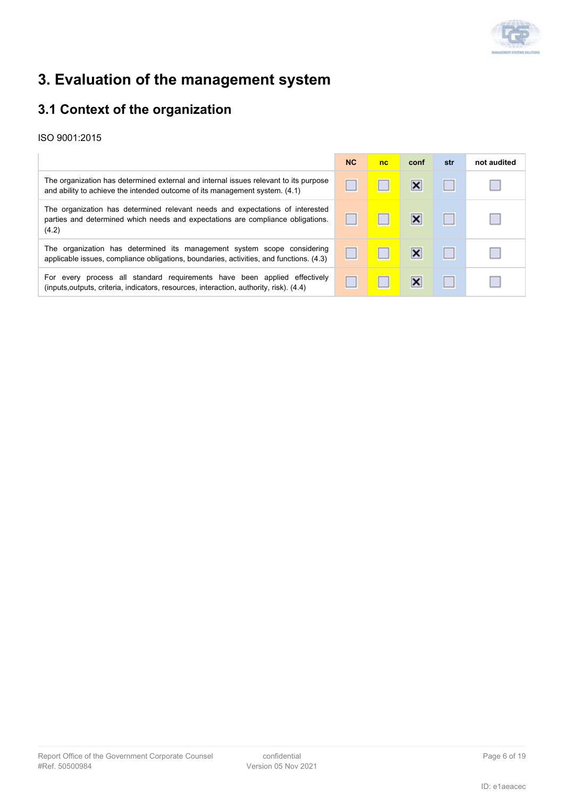

# **3. Evaluation of the management system**

### **3.1 Context of the organization**

|                                                                                                                                                                           | <b>NC</b> | nc | conf                      | str | not audited |
|---------------------------------------------------------------------------------------------------------------------------------------------------------------------------|-----------|----|---------------------------|-----|-------------|
| The organization has determined external and internal issues relevant to its purpose<br>and ability to achieve the intended outcome of its management system. (4.1)       |           |    | ×                         |     |             |
| The organization has determined relevant needs and expectations of interested<br>parties and determined which needs and expectations are compliance obligations.<br>(4.2) |           |    | ×                         |     |             |
| The organization has determined its management system scope considering<br>applicable issues, compliance obligations, boundaries, activities, and functions. (4.3)        |           |    | $\boldsymbol{\mathsf{x}}$ |     |             |
| For every process all standard requirements have been applied effectively<br>(inputs, outputs, criteria, indicators, resources, interaction, authority, risk). (4.4)      |           |    | ×                         |     |             |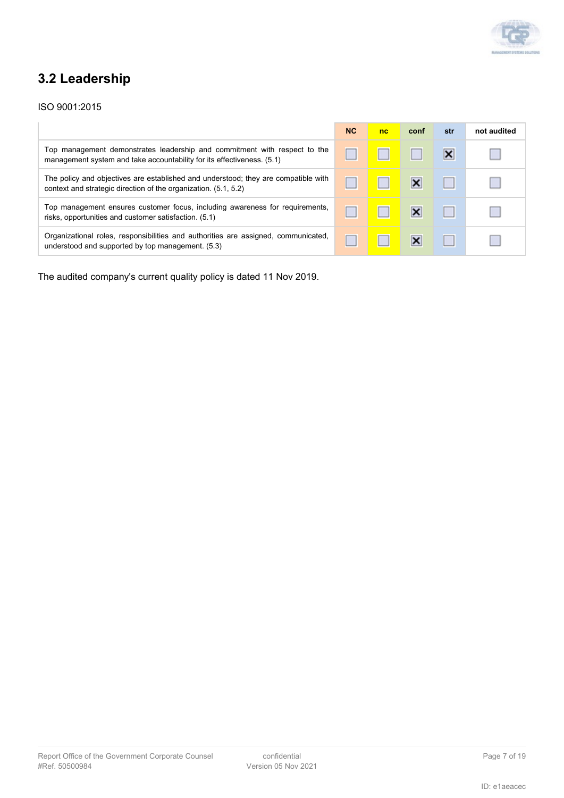

### **3.2 Leadership**

#### ISO 9001:2015

|                                                                                                                                                       | <b>NC</b> | nc | conf                      | str | not audited |
|-------------------------------------------------------------------------------------------------------------------------------------------------------|-----------|----|---------------------------|-----|-------------|
| Top management demonstrates leadership and commitment with respect to the<br>management system and take accountability for its effectiveness. (5.1)   |           |    |                           | ×   |             |
| The policy and objectives are established and understood; they are compatible with<br>context and strategic direction of the organization. (5.1, 5.2) |           |    | $\boldsymbol{\mathsf{x}}$ |     |             |
| Top management ensures customer focus, including awareness for requirements,<br>risks, opportunities and customer satisfaction. (5.1)                 |           |    | $\boldsymbol{\mathsf{x}}$ |     |             |
| Organizational roles, responsibilities and authorities are assigned, communicated,<br>understood and supported by top management. (5.3)               |           |    | ×                         |     |             |

The audited company's current quality policy is dated 11 Nov 2019.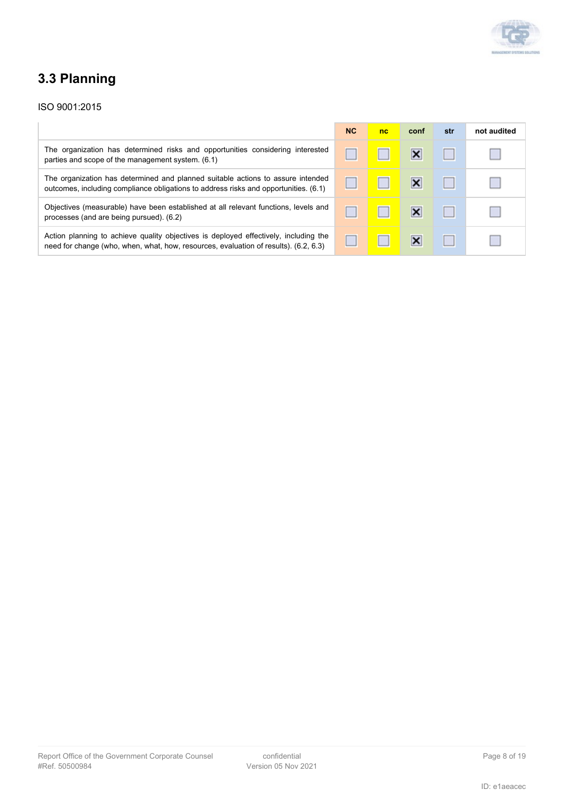

# **3.3 Planning**

|                                                                                                                                                                              | NC | nc | conf | str | not audited |
|------------------------------------------------------------------------------------------------------------------------------------------------------------------------------|----|----|------|-----|-------------|
| The organization has determined risks and opportunities considering interested<br>parties and scope of the management system. (6.1)                                          |    |    |      |     |             |
| The organization has determined and planned suitable actions to assure intended<br>outcomes, including compliance obligations to address risks and opportunities. (6.1)      |    |    |      |     |             |
| Objectives (measurable) have been established at all relevant functions, levels and<br>processes (and are being pursued). (6.2)                                              |    |    | ×    |     |             |
| Action planning to achieve quality objectives is deployed effectively, including the<br>need for change (who, when, what, how, resources, evaluation of results). (6.2, 6.3) |    |    | ×    |     |             |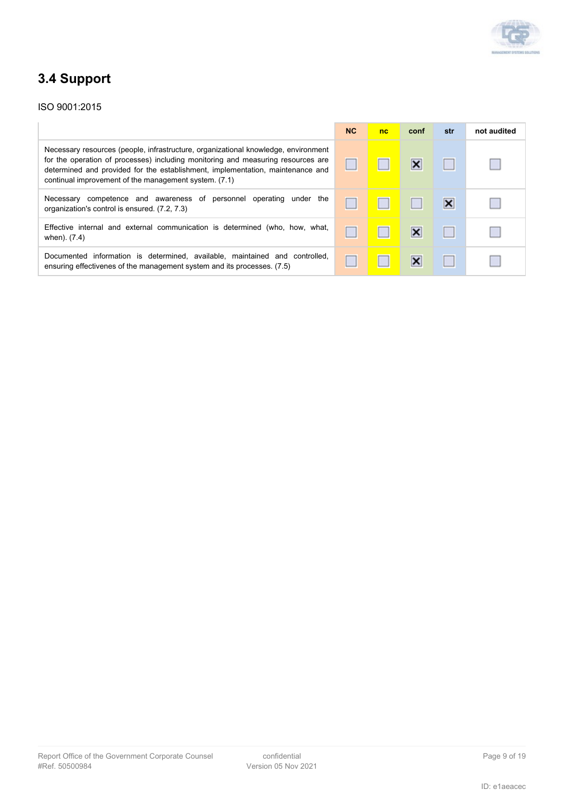

# **3.4 Support**

|                                                                                                                                                                                                                                                                                                                   | <b>NC</b> | nc | conf                    | str                     | not audited |
|-------------------------------------------------------------------------------------------------------------------------------------------------------------------------------------------------------------------------------------------------------------------------------------------------------------------|-----------|----|-------------------------|-------------------------|-------------|
| Necessary resources (people, infrastructure, organizational knowledge, environment<br>for the operation of processes) including monitoring and measuring resources are<br>determined and provided for the establishment, implementation, maintenance and<br>continual improvement of the management system. (7.1) |           |    | ×                       |                         |             |
| Necessary competence and awareness of personnel operating<br>under the<br>organization's control is ensured. (7.2, 7.3)                                                                                                                                                                                           |           |    |                         | $\overline{\mathsf{x}}$ |             |
| Effective internal and external communication is determined (who, how, what,<br>when). (7.4)                                                                                                                                                                                                                      |           |    | $\overline{\mathsf{x}}$ |                         |             |
| Documented information is determined, available, maintained and controlled,<br>ensuring effectivenes of the management system and its processes. (7.5)                                                                                                                                                            |           |    | ×                       |                         |             |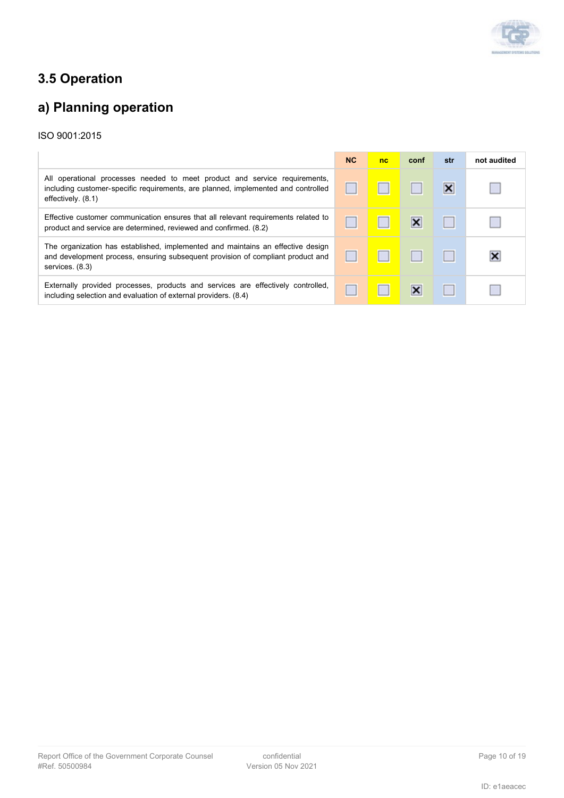

# **3.5 Operation**

# **a) Planning operation**

|                                                                                                                                                                                       | <b>NC</b> | nc | conf                      | str                     | not audited |
|---------------------------------------------------------------------------------------------------------------------------------------------------------------------------------------|-----------|----|---------------------------|-------------------------|-------------|
| All operational processes needed to meet product and service requirements,<br>including customer-specific requirements, are planned, implemented and controlled<br>effectively. (8.1) |           |    |                           | $\overline{\mathsf{x}}$ |             |
| Effective customer communication ensures that all relevant requirements related to<br>product and service are determined, reviewed and confirmed. (8.2)                               |           |    | $\boldsymbol{\mathsf{x}}$ |                         |             |
| The organization has established, implemented and maintains an effective design<br>and development process, ensuring subsequent provision of compliant product and<br>services. (8.3) |           |    |                           |                         |             |
| Externally provided processes, products and services are effectively controlled,<br>including selection and evaluation of external providers. (8.4)                                   |           |    | $\boldsymbol{\mathsf{x}}$ |                         |             |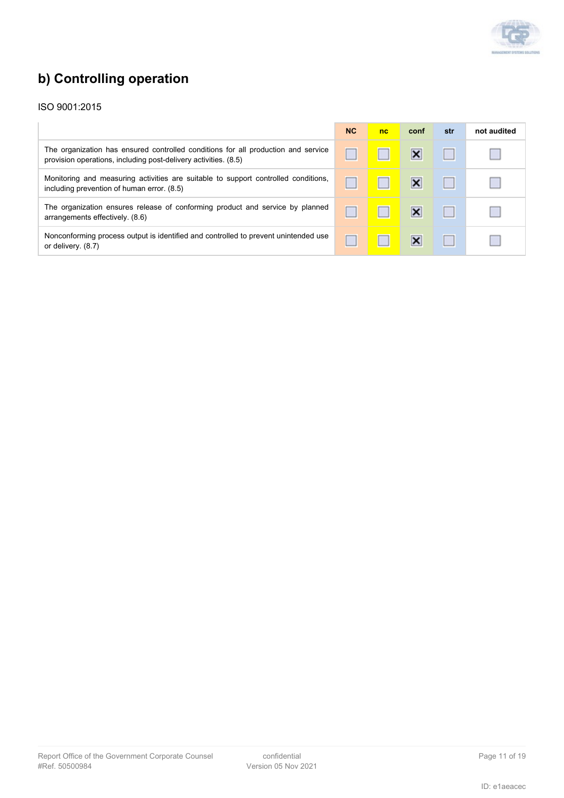

# **b) Controlling operation**

|                                                                                                                                                      | <b>NC</b> | nc | conf | str | not audited |
|------------------------------------------------------------------------------------------------------------------------------------------------------|-----------|----|------|-----|-------------|
| The organization has ensured controlled conditions for all production and service<br>provision operations, including post-delivery activities. (8.5) |           |    |      |     |             |
| Monitoring and measuring activities are suitable to support controlled conditions,<br>including prevention of human error. (8.5)                     |           |    |      |     |             |
| The organization ensures release of conforming product and service by planned<br>arrangements effectively. (8.6)                                     |           |    | ×    |     |             |
| Nonconforming process output is identified and controlled to prevent unintended use<br>or delivery. (8.7)                                            |           |    |      |     |             |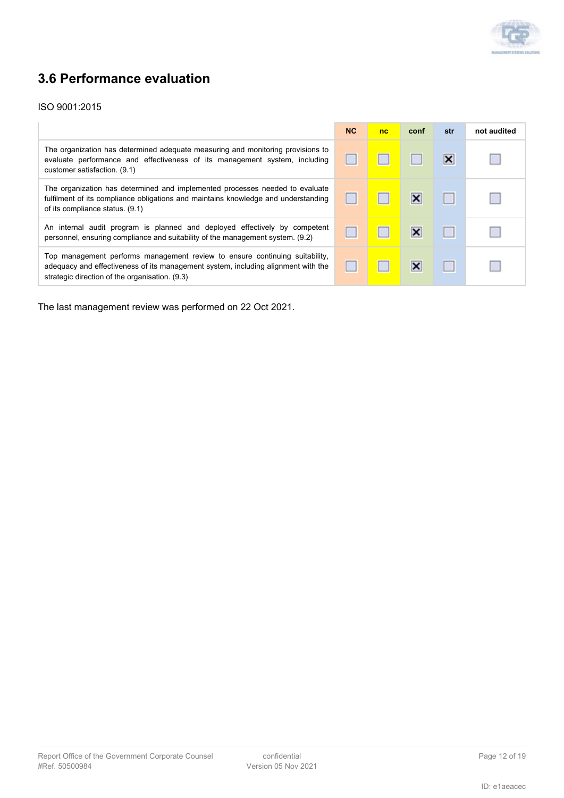

### **3.6 Performance evaluation**

#### ISO 9001:2015

|                                                                                                                                                                                                                    | <b>NC</b> | nc | conf | str                     | not audited |
|--------------------------------------------------------------------------------------------------------------------------------------------------------------------------------------------------------------------|-----------|----|------|-------------------------|-------------|
| The organization has determined adequate measuring and monitoring provisions to<br>evaluate performance and effectiveness of its management system, including<br>customer satisfaction. (9.1)                      |           |    |      | $\overline{\mathbf{x}}$ |             |
| The organization has determined and implemented processes needed to evaluate<br>fulfilment of its compliance obligations and maintains knowledge and understanding<br>of its compliance status. (9.1)              |           |    | ×    |                         |             |
| An internal audit program is planned and deployed effectively by competent<br>personnel, ensuring compliance and suitability of the management system. (9.2)                                                       |           |    | ×    |                         |             |
| Top management performs management review to ensure continuing suitability,<br>adequacy and effectiveness of its management system, including alignment with the<br>strategic direction of the organisation. (9.3) |           |    |      |                         |             |

The last management review was performed on 22 Oct 2021.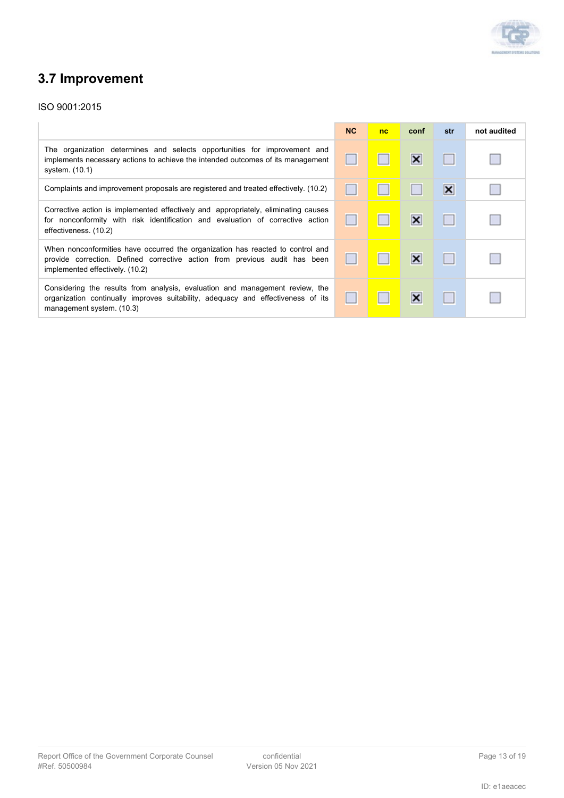

# **3.7 Improvement**

|                                                                                                                                                                                                 | NC | nc | conf                    | str                     | not audited |
|-------------------------------------------------------------------------------------------------------------------------------------------------------------------------------------------------|----|----|-------------------------|-------------------------|-------------|
| The organization determines and selects opportunities for improvement and<br>implements necessary actions to achieve the intended outcomes of its management<br>system. (10.1)                  |    |    | ×                       |                         |             |
| Complaints and improvement proposals are registered and treated effectively. (10.2)                                                                                                             |    |    |                         | $\overline{\mathsf{x}}$ |             |
| Corrective action is implemented effectively and appropriately, eliminating causes<br>for nonconformity with risk identification and evaluation of corrective action<br>effectiveness. (10.2)   |    |    | $\overline{\mathsf{x}}$ |                         |             |
| When nonconformities have occurred the organization has reacted to control and<br>provide correction. Defined corrective action from previous audit has been<br>implemented effectively. (10.2) |    |    | ×                       |                         |             |
| Considering the results from analysis, evaluation and management review, the<br>organization continually improves suitability, adequacy and effectiveness of its<br>management system. (10.3)   |    |    | ×                       |                         |             |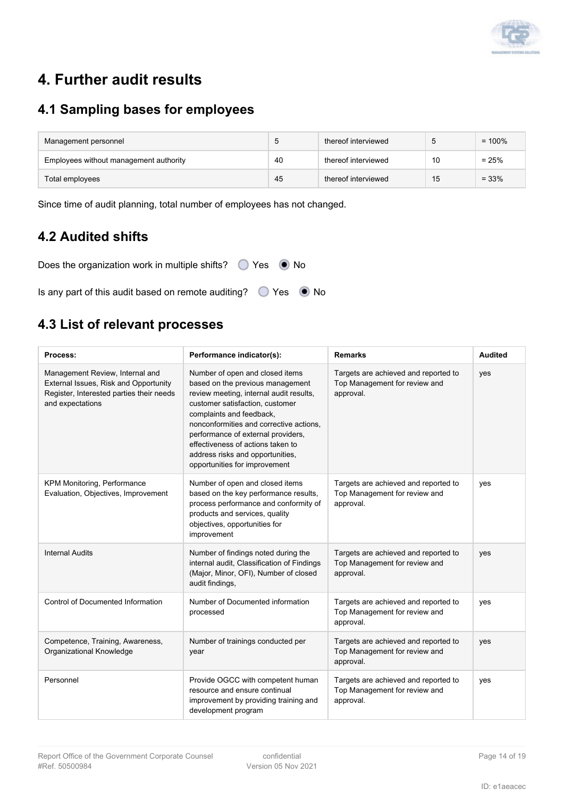

# **4. Further audit results**

### **4.1 Sampling bases for employees**

| Management personnel                   | 5  | thereof interviewed |    | $= 100\%$ |
|----------------------------------------|----|---------------------|----|-----------|
| Employees without management authority | 40 | thereof interviewed | 10 | $= 25%$   |
| Total employees                        | 45 | thereof interviewed | 15 | $= 33%$   |

Since time of audit planning, total number of employees has not changed.

### **4.2 Audited shifts**

Does the organization work in multiple shifts?  $\bigcirc$  Yes  $\bigcirc$  No Is any part of this audit based on remote auditing?  $\bigcirc$  Yes  $\bigcirc$  No

### **4.3 List of relevant processes**

| <b>Process:</b>                                                                                                                          | Performance indicator(s):                                                                                                                                                                                                                                                                                                                                                | <b>Remarks</b>                                                                     | <b>Audited</b> |
|------------------------------------------------------------------------------------------------------------------------------------------|--------------------------------------------------------------------------------------------------------------------------------------------------------------------------------------------------------------------------------------------------------------------------------------------------------------------------------------------------------------------------|------------------------------------------------------------------------------------|----------------|
| Management Review, Internal and<br>External Issues, Risk and Opportunity<br>Register, Interested parties their needs<br>and expectations | Number of open and closed items<br>based on the previous management<br>review meeting, internal audit results,<br>customer satisfaction, customer<br>complaints and feedback,<br>nonconformities and corrective actions.<br>performance of external providers,<br>effectiveness of actions taken to<br>address risks and opportunities,<br>opportunities for improvement | Targets are achieved and reported to<br>Top Management for review and<br>approval. | yes            |
| <b>KPM Monitoring, Performance</b><br>Evaluation, Objectives, Improvement                                                                | Number of open and closed items<br>based on the key performance results,<br>process performance and conformity of<br>products and services, quality<br>objectives, opportunities for<br>improvement                                                                                                                                                                      | Targets are achieved and reported to<br>Top Management for review and<br>approval. | yes            |
| <b>Internal Audits</b>                                                                                                                   | Number of findings noted during the<br>internal audit, Classification of Findings<br>(Major, Minor, OFI), Number of closed<br>audit findings,                                                                                                                                                                                                                            | Targets are achieved and reported to<br>Top Management for review and<br>approval. | yes            |
| <b>Control of Documented Information</b>                                                                                                 | Number of Documented information<br>processed                                                                                                                                                                                                                                                                                                                            | Targets are achieved and reported to<br>Top Management for review and<br>approval. | yes            |
| Competence, Training, Awareness,<br>Organizational Knowledge                                                                             | Number of trainings conducted per<br>year                                                                                                                                                                                                                                                                                                                                | Targets are achieved and reported to<br>Top Management for review and<br>approval. | yes            |
| Personnel                                                                                                                                | Provide OGCC with competent human<br>resource and ensure continual<br>improvement by providing training and<br>development program                                                                                                                                                                                                                                       | Targets are achieved and reported to<br>Top Management for review and<br>approval. | yes            |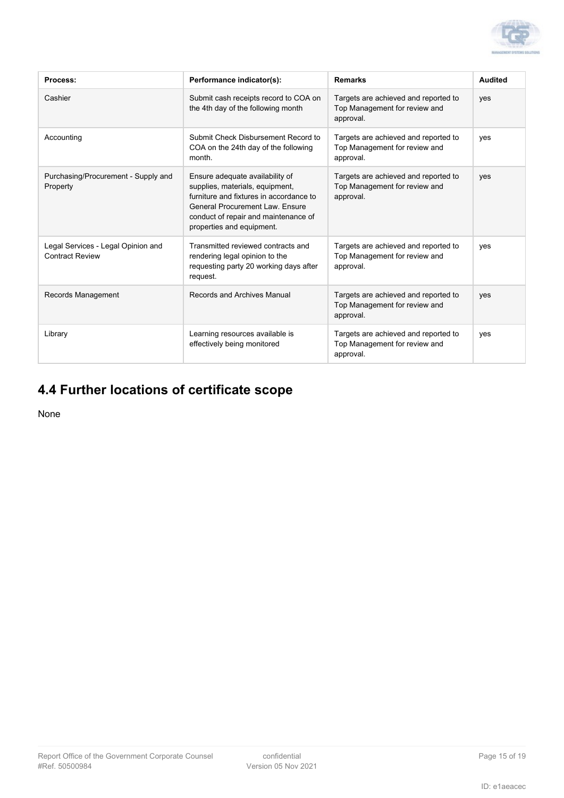

| Process:                                                     | Performance indicator(s):                                                                                                                                                                                             | <b>Remarks</b>                                                                     | <b>Audited</b> |
|--------------------------------------------------------------|-----------------------------------------------------------------------------------------------------------------------------------------------------------------------------------------------------------------------|------------------------------------------------------------------------------------|----------------|
| Cashier                                                      | Submit cash receipts record to COA on<br>the 4th day of the following month                                                                                                                                           | Targets are achieved and reported to<br>Top Management for review and<br>approval. | yes            |
| Accounting                                                   | Submit Check Disbursement Record to<br>COA on the 24th day of the following<br>month.                                                                                                                                 | Targets are achieved and reported to<br>Top Management for review and<br>approval. | yes            |
| Purchasing/Procurement - Supply and<br>Property              | Ensure adequate availability of<br>supplies, materials, equipment,<br>furniture and fixtures in accordance to<br>General Procurement Law. Ensure<br>conduct of repair and maintenance of<br>properties and equipment. | Targets are achieved and reported to<br>Top Management for review and<br>approval. | yes            |
| Legal Services - Legal Opinion and<br><b>Contract Review</b> | Transmitted reviewed contracts and<br>rendering legal opinion to the<br>requesting party 20 working days after<br>request.                                                                                            | Targets are achieved and reported to<br>Top Management for review and<br>approval. | yes            |
| Records Management                                           | Records and Archives Manual                                                                                                                                                                                           | Targets are achieved and reported to<br>Top Management for review and<br>approval. | yes            |
| Library                                                      | Learning resources available is<br>effectively being monitored                                                                                                                                                        | Targets are achieved and reported to<br>Top Management for review and<br>approval. | yes            |

### **4.4 Further locations of certificate scope**

None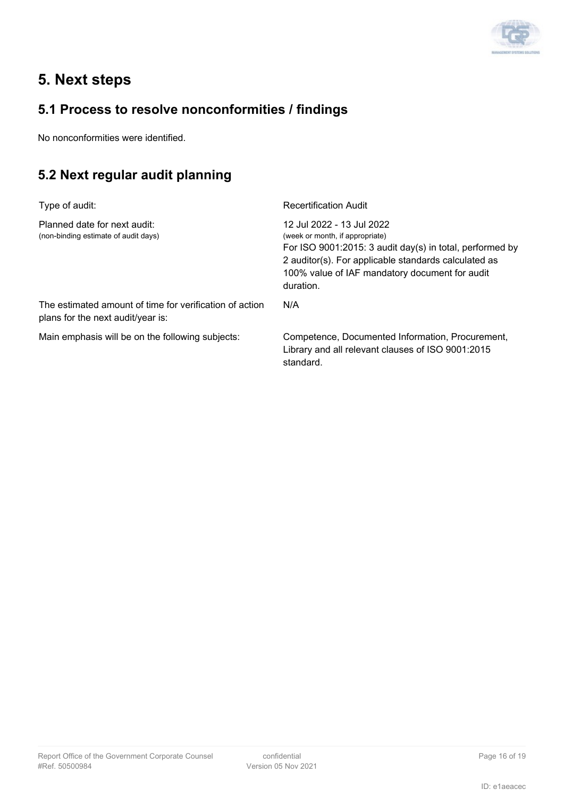

## **5. Next steps**

### **5.1 Process to resolve nonconformities / findings**

No nonconformities were identified.

### **5.2 Next regular audit planning**

| Type of audit:                                                                               | <b>Recertification Audit</b>                                                                                                                                                                                                                      |
|----------------------------------------------------------------------------------------------|---------------------------------------------------------------------------------------------------------------------------------------------------------------------------------------------------------------------------------------------------|
| Planned date for next audit:<br>(non-binding estimate of audit days)                         | 12 Jul 2022 - 13 Jul 2022<br>(week or month, if appropriate)<br>For ISO $9001:2015: 3$ audit day(s) in total, performed by<br>2 auditor(s). For applicable standards calculated as<br>100% value of IAF mandatory document for audit<br>duration. |
| The estimated amount of time for verification of action<br>plans for the next audit/year is: | N/A                                                                                                                                                                                                                                               |
| Main emphasis will be on the following subjects:                                             | Competence, Documented Information, Procurement,<br>Library and all relevant clauses of ISO 9001:2015<br>standard.                                                                                                                                |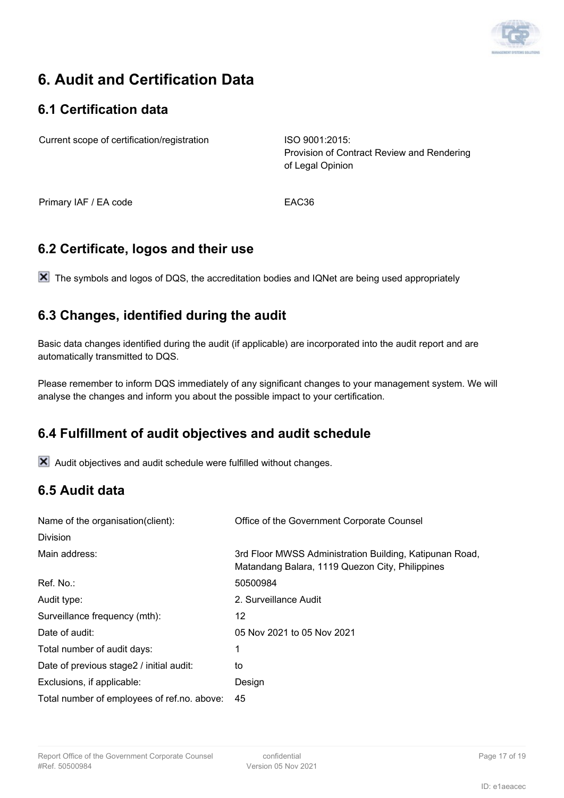

# **6. Audit and Certification Data**

### **6.1 Certification data**

Current scope of certification/registration ISO 9001:2015:

Provision of Contract Review and Rendering of Legal Opinion

Primary IAF / EA code EAC36

### **6.2 Certificate, logos and their use**

X The symbols and logos of DQS, the accreditation bodies and IQNet are being used appropriately

### **6.3 Changes, identified during the audit**

Basic data changes identified during the audit (if applicable) are incorporated into the audit report and are automatically transmitted to DQS.

Please remember to inform DQS immediately of any significant changes to your management system. We will analyse the changes and inform you about the possible impact to your certification.

### **6.4 Fulfillment of audit objectives and audit schedule**

 $\mathsf{\overline{X}}$  Audit objectives and audit schedule were fulfilled without changes.

### **6.5 Audit data**

| Name of the organisation(client):           | Office of the Government Corporate Counsel                                                                 |  |
|---------------------------------------------|------------------------------------------------------------------------------------------------------------|--|
| Division                                    |                                                                                                            |  |
| Main address:                               | 3rd Floor MWSS Administration Building, Katipunan Road,<br>Matandang Balara, 1119 Quezon City, Philippines |  |
| Ref. No.:                                   | 50500984                                                                                                   |  |
| Audit type:                                 | 2. Surveillance Audit                                                                                      |  |
| Surveillance frequency (mth):               | 12                                                                                                         |  |
| Date of audit:                              | 05 Nov 2021 to 05 Nov 2021                                                                                 |  |
| Total number of audit days:                 | 1                                                                                                          |  |
| Date of previous stage2 / initial audit:    | to                                                                                                         |  |
| Exclusions, if applicable:                  | Design                                                                                                     |  |
| Total number of employees of ref.no. above: | 45                                                                                                         |  |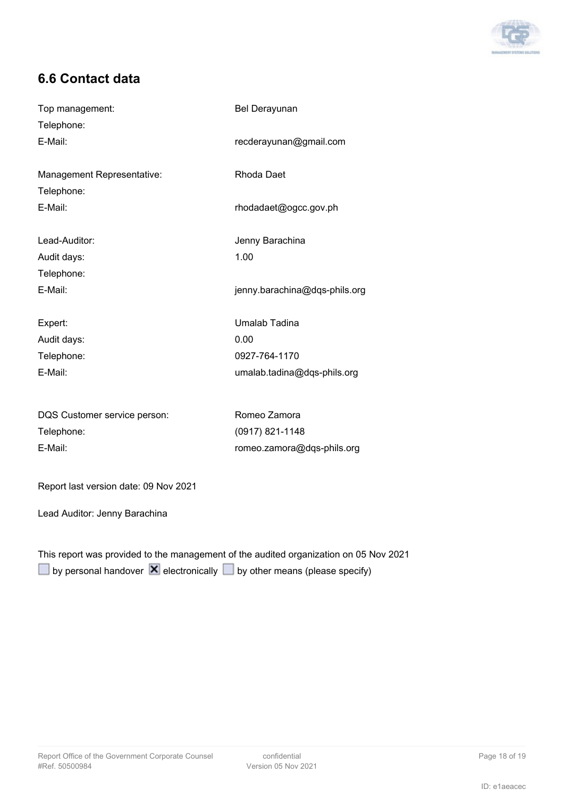

### **6.6 Contact data**

| Top management:                       | <b>Bel Derayunan</b>          |  |
|---------------------------------------|-------------------------------|--|
| Telephone:                            |                               |  |
| E-Mail:                               | recderayunan@gmail.com        |  |
|                                       |                               |  |
| Management Representative:            | Rhoda Daet                    |  |
| Telephone:                            |                               |  |
| E-Mail:                               | rhodadaet@ogcc.gov.ph         |  |
| Lead-Auditor:                         | Jenny Barachina               |  |
| Audit days:                           | 1.00                          |  |
| Telephone:                            |                               |  |
| E-Mail:                               | jenny.barachina@dqs-phils.org |  |
| Expert:                               | Umalab Tadina                 |  |
| Audit days:                           | 0.00                          |  |
| Telephone:                            | 0927-764-1170                 |  |
| E-Mail:                               | umalab.tadina@dqs-phils.org   |  |
|                                       |                               |  |
| DQS Customer service person:          | Romeo Zamora                  |  |
| Telephone:                            | (0917) 821-1148               |  |
| E-Mail:                               | romeo.zamora@dqs-phils.org    |  |
| Report last version date: 09 Nov 2021 |                               |  |

Lead Auditor: Jenny Barachina

This report was provided to the management of the audited organization on 05 Nov 2021  $\Box$ by personal handover  $\overline{\mathbf{X}}$  electronically  $\Box$  by other means (please specify)